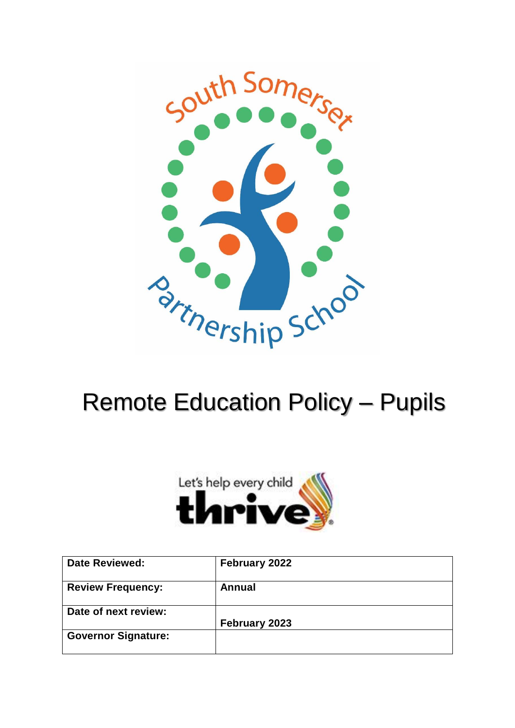

# Remote Education Policy – Pupils



| <b>Date Reviewed:</b>      | February 2022 |
|----------------------------|---------------|
| <b>Review Frequency:</b>   | Annual        |
| Date of next review:       |               |
|                            | February 2023 |
| <b>Governor Signature:</b> |               |
|                            |               |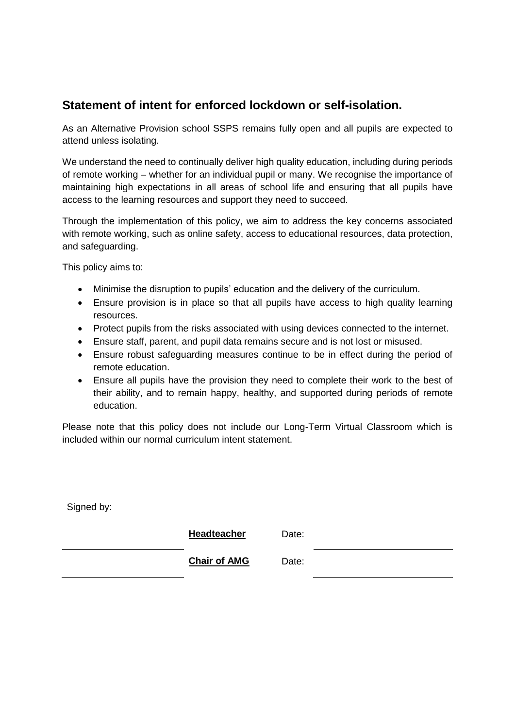# **Statement of intent for enforced lockdown or self-isolation.**

As an Alternative Provision school SSPS remains fully open and all pupils are expected to attend unless isolating.

We understand the need to continually deliver high quality education, including during periods of remote working – whether for an individual pupil or many. We recognise the importance of maintaining high expectations in all areas of school life and ensuring that all pupils have access to the learning resources and support they need to succeed.

Through the implementation of this policy, we aim to address the key concerns associated with remote working, such as online safety, access to educational resources, data protection, and safeguarding.

This policy aims to:

- Minimise the disruption to pupils' education and the delivery of the curriculum.
- Ensure provision is in place so that all pupils have access to high quality learning resources.
- Protect pupils from the risks associated with using devices connected to the internet.
- Ensure staff, parent, and pupil data remains secure and is not lost or misused.
- Ensure robust safeguarding measures continue to be in effect during the period of remote education.
- Ensure all pupils have the provision they need to complete their work to the best of their ability, and to remain happy, healthy, and supported during periods of remote education.

Please note that this policy does not include our Long-Term Virtual Classroom which is included within our normal curriculum intent statement.

Signed by:

**Headteacher** Date:

**Chair of AMG** Date: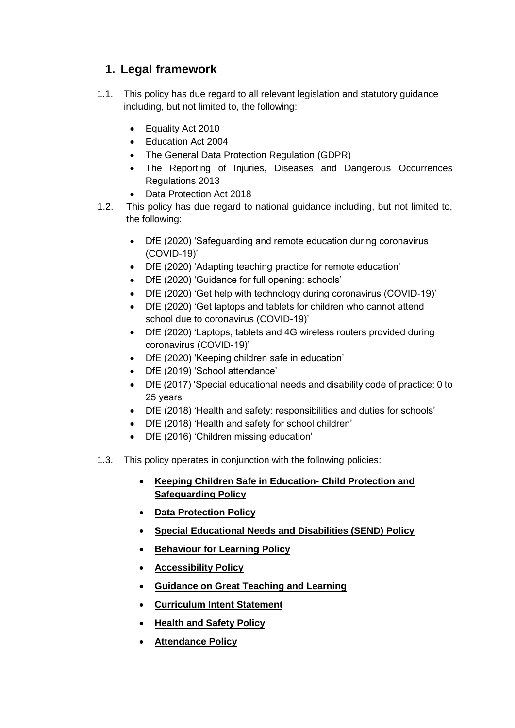# **1. Legal framework**

- 1.1. This policy has due regard to all relevant legislation and statutory guidance including, but not limited to, the following:
	- Equality Act 2010
	- Education Act 2004
	- The General Data Protection Regulation (GDPR)
	- The Reporting of Injuries, Diseases and Dangerous Occurrences Regulations 2013
	- Data Protection Act 2018
- 1.2. This policy has due regard to national guidance including, but not limited to, the following:
	- DfE (2020) 'Safeguarding and remote education during coronavirus (COVID-19)'
	- DfE (2020) 'Adapting teaching practice for remote education'
	- DfE (2020) 'Guidance for full opening: schools'
	- DfE (2020) 'Get help with technology during coronavirus (COVID-19)'
	- DfE (2020) 'Get laptops and tablets for children who cannot attend school due to coronavirus (COVID-19)'
	- DfE (2020) 'Laptops, tablets and 4G wireless routers provided during coronavirus (COVID-19)'
	- DfE (2020) 'Keeping children safe in education'
	- DfE (2019) 'School attendance'
	- DfE (2017) 'Special educational needs and disability code of practice: 0 to 25 years'
	- DfE (2018) 'Health and safety: responsibilities and duties for schools'
	- DfE (2018) 'Health and safety for school children'
	- DfE (2016) 'Children missing education'
- 1.3. This policy operates in conjunction with the following policies:
	- **Keeping Children Safe in Education- Child Protection and Safeguarding Policy**
	- **Data Protection Policy**
	- **Special Educational Needs and Disabilities (SEND) Policy**
	- **Behaviour for Learning Policy**
	- **Accessibility Policy**
	- **Guidance on Great Teaching and Learning**
	- **Curriculum Intent Statement**
	- **Health and Safety Policy**
	- **Attendance Policy**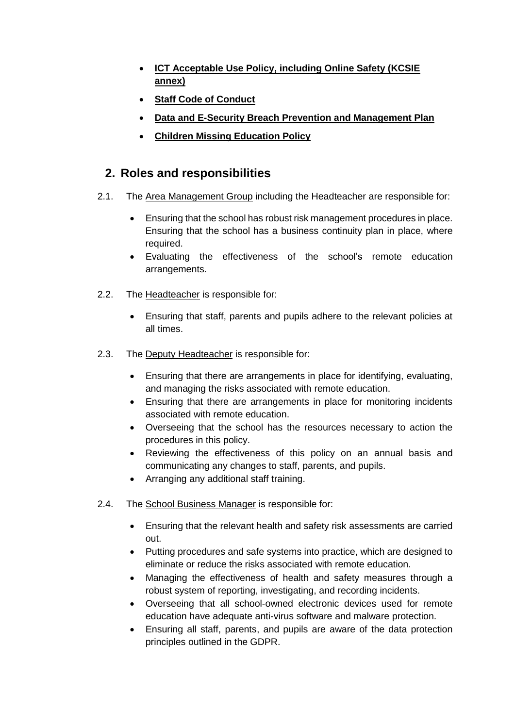- **ICT Acceptable Use Policy, including Online Safety (KCSIE annex)**
- **Staff Code of Conduct**
- **Data and E-Security Breach Prevention and Management Plan**
- **Children Missing Education Policy**

## **2. Roles and responsibilities**

- 2.1. The Area Management Group including the Headteacher are responsible for:
	- Ensuring that the school has robust risk management procedures in place. Ensuring that the school has a business continuity plan in place, where required.
	- Evaluating the effectiveness of the school's remote education arrangements.
- 2.2. The Headteacher is responsible for:
	- Ensuring that staff, parents and pupils adhere to the relevant policies at all times.
- 2.3. The Deputy Headteacher is responsible for:
	- Ensuring that there are arrangements in place for identifying, evaluating, and managing the risks associated with remote education.
	- Ensuring that there are arrangements in place for monitoring incidents associated with remote education.
	- Overseeing that the school has the resources necessary to action the procedures in this policy.
	- Reviewing the effectiveness of this policy on an annual basis and communicating any changes to staff, parents, and pupils.
	- Arranging any additional staff training.
- 2.4. The School Business Manager is responsible for:
	- Ensuring that the relevant health and safety risk assessments are carried out.
	- Putting procedures and safe systems into practice, which are designed to eliminate or reduce the risks associated with remote education.
	- Managing the effectiveness of health and safety measures through a robust system of reporting, investigating, and recording incidents.
	- Overseeing that all school-owned electronic devices used for remote education have adequate anti-virus software and malware protection.
	- Ensuring all staff, parents, and pupils are aware of the data protection principles outlined in the GDPR.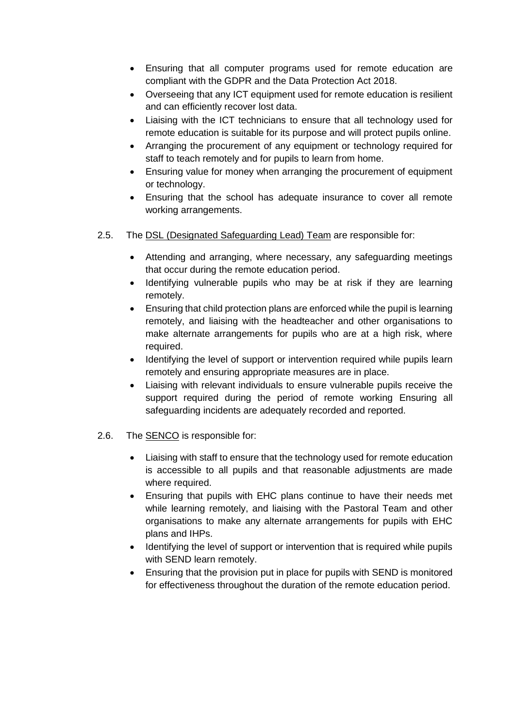- Ensuring that all computer programs used for remote education are compliant with the GDPR and the Data Protection Act 2018.
- Overseeing that any ICT equipment used for remote education is resilient and can efficiently recover lost data.
- Liaising with the ICT technicians to ensure that all technology used for remote education is suitable for its purpose and will protect pupils online.
- Arranging the procurement of any equipment or technology required for staff to teach remotely and for pupils to learn from home.
- Ensuring value for money when arranging the procurement of equipment or technology.
- Ensuring that the school has adequate insurance to cover all remote working arrangements.
- 2.5. The DSL (Designated Safeguarding Lead) Team are responsible for:
	- Attending and arranging, where necessary, any safeguarding meetings that occur during the remote education period.
	- Identifying vulnerable pupils who may be at risk if they are learning remotely.
	- Ensuring that child protection plans are enforced while the pupil is learning remotely, and liaising with the headteacher and other organisations to make alternate arrangements for pupils who are at a high risk, where required.
	- Identifying the level of support or intervention required while pupils learn remotely and ensuring appropriate measures are in place.
	- Liaising with relevant individuals to ensure vulnerable pupils receive the support required during the period of remote working Ensuring all safeguarding incidents are adequately recorded and reported.
- 2.6. The SENCO is responsible for:
	- Liaising with staff to ensure that the technology used for remote education is accessible to all pupils and that reasonable adjustments are made where required.
	- Ensuring that pupils with EHC plans continue to have their needs met while learning remotely, and liaising with the Pastoral Team and other organisations to make any alternate arrangements for pupils with EHC plans and IHPs.
	- Identifying the level of support or intervention that is required while pupils with SEND learn remotely.
	- Ensuring that the provision put in place for pupils with SEND is monitored for effectiveness throughout the duration of the remote education period.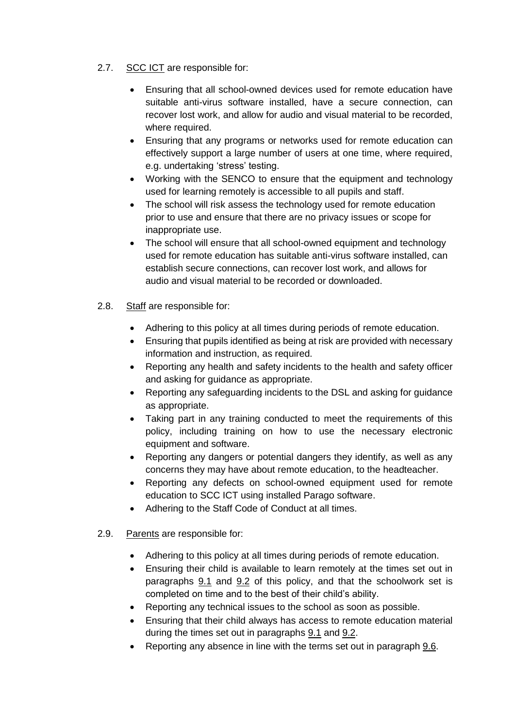- 2.7. SCC ICT are responsible for:
	- Ensuring that all school-owned devices used for remote education have suitable anti-virus software installed, have a secure connection, can recover lost work, and allow for audio and visual material to be recorded, where required.
	- Ensuring that any programs or networks used for remote education can effectively support a large number of users at one time, where required, e.g. undertaking 'stress' testing.
	- Working with the SENCO to ensure that the equipment and technology used for learning remotely is accessible to all pupils and staff.
	- The school will risk assess the technology used for remote education prior to use and ensure that there are no privacy issues or scope for inappropriate use.
	- The school will ensure that all school-owned equipment and technology used for remote education has suitable anti-virus software installed, can establish secure connections, can recover lost work, and allows for audio and visual material to be recorded or downloaded.
- 2.8. Staff are responsible for:
	- Adhering to this policy at all times during periods of remote education.
	- Ensuring that pupils identified as being at risk are provided with necessary information and instruction, as required.
	- Reporting any health and safety incidents to the health and safety officer and asking for guidance as appropriate.
	- Reporting any safeguarding incidents to the DSL and asking for guidance as appropriate.
	- Taking part in any training conducted to meet the requirements of this policy, including training on how to use the necessary electronic equipment and software.
	- Reporting any dangers or potential dangers they identify, as well as any concerns they may have about remote education, to the headteacher.
	- Reporting any defects on school-owned equipment used for remote education to SCC ICT using installed Parago software.
	- Adhering to the Staff Code of Conduct at all times.
- 2.9. Parents are responsible for:
	- Adhering to this policy at all times during periods of remote education.
	- Ensuring their child is available to learn remotely at the times set out in paragraphs [9.1](#page-10-0) and [9.2](#page-10-1) of this policy, and that the schoolwork set is completed on time and to the best of their child's ability.
	- Reporting any technical issues to the school as soon as possible.
	- Ensuring that their child always has access to remote education material during the times set out in paragraphs [9.1](#page-10-0) and [9.2.](#page-10-1)
	- Reporting any absence in line with the terms set out in paragraph [9.6.](#page-10-2)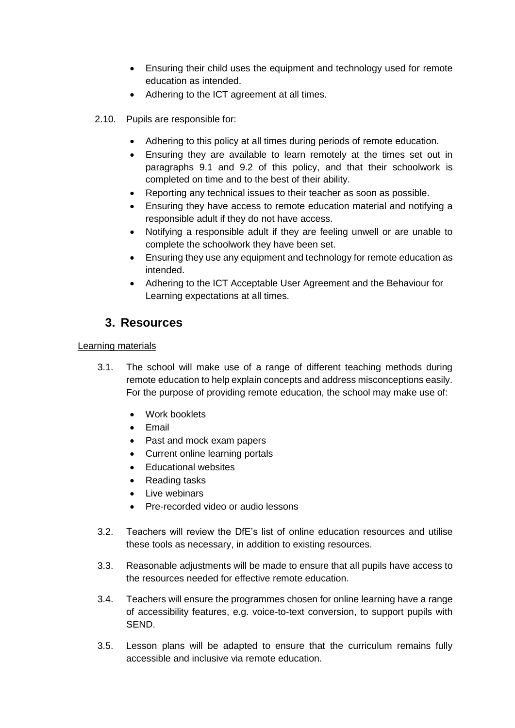- Ensuring their child uses the equipment and technology used for remote education as intended.
- Adhering to the ICT agreement at all times.
- 2.10. Pupils are responsible for:
	- Adhering to this policy at all times during periods of remote education.
	- Ensuring they are available to learn remotely at the times set out in paragraphs [9.1](#page-10-0) and [9.2](#page-10-1) of this policy, and that their schoolwork is completed on time and to the best of their ability.
	- Reporting any technical issues to their teacher as soon as possible.
	- Ensuring they have access to remote education material and notifying a responsible adult if they do not have access.
	- Notifying a responsible adult if they are feeling unwell or are unable to complete the schoolwork they have been set.
	- Ensuring they use any equipment and technology for remote education as intended.
	- Adhering to the ICT Acceptable User Agreement and the Behaviour for Learning expectations at all times.

# **3. Resources**

#### Learning materials

- 3.1. The school will make use of a range of different teaching methods during remote education to help explain concepts and address misconceptions easily. For the purpose of providing remote education, the school may make use of:
	- Work booklets
	- $\bullet$  Fmail
	- Past and mock exam papers
	- Current online learning portals
	- Educational websites
	- Reading tasks
	- Live webinars
	- Pre-recorded video or audio lessons
- 3.2. Teachers will review the DfE's list of [online education resources](https://www.gov.uk/government/publications/coronavirus-covid-19-online-education-resources) and utilise these tools as necessary, in addition to existing resources.
- 3.3. Reasonable adjustments will be made to ensure that all pupils have access to the resources needed for effective remote education.
- 3.4. Teachers will ensure the programmes chosen for online learning have a range of accessibility features, e.g. voice-to-text conversion, to support pupils with SEND.
- 3.5. Lesson plans will be adapted to ensure that the curriculum remains fully accessible and inclusive via remote education.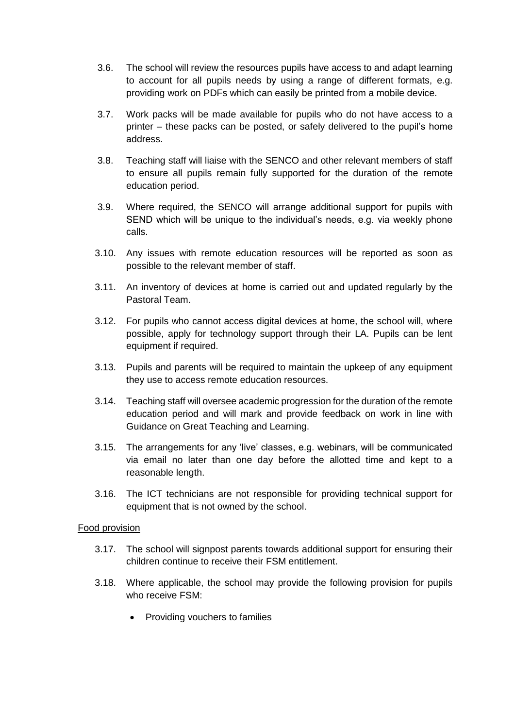- 3.6. The school will review the resources pupils have access to and adapt learning to account for all pupils needs by using a range of different formats, e.g. providing work on PDFs which can easily be printed from a mobile device.
- 3.7. Work packs will be made available for pupils who do not have access to a printer – these packs can be posted, or safely delivered to the pupil's home address.
- 3.8. Teaching staff will liaise with the SENCO and other relevant members of staff to ensure all pupils remain fully supported for the duration of the remote education period.
- 3.9. Where required, the SENCO will arrange additional support for pupils with SEND which will be unique to the individual's needs, e.g. via weekly phone calls.
- 3.10. Any issues with remote education resources will be reported as soon as possible to the relevant member of staff.
- 3.11. An inventory of devices at home is carried out and updated regularly by the Pastoral Team.
- 3.12. For pupils who cannot access digital devices at home, the school will, where possible, apply for technology support through their LA. Pupils can be lent equipment if required.
- 3.13. Pupils and parents will be required to maintain the upkeep of any equipment they use to access remote education resources.
- 3.14. Teaching staff will oversee academic progression for the duration of the remote education period and will mark and provide feedback on work in line with Guidance on Great Teaching and Learning.
- 3.15. The arrangements for any 'live' classes, e.g. webinars, will be communicated via email no later than one day before the allotted time and kept to a reasonable length.
- 3.16. The ICT technicians are not responsible for providing technical support for equipment that is not owned by the school.

#### Food provision

- 3.17. The school will signpost parents towards additional support for ensuring their children continue to receive their FSM entitlement.
- 3.18. Where applicable, the school may provide the following provision for pupils who receive FSM:
	- Providing vouchers to families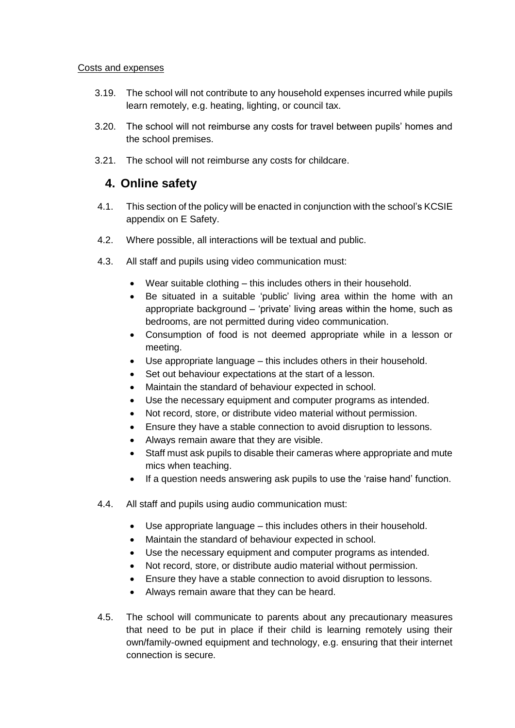#### Costs and expenses

- 3.19. The school will not contribute to any household expenses incurred while pupils learn remotely, e.g. heating, lighting, or council tax.
- 3.20. The school will not reimburse any costs for travel between pupils' homes and the school premises.
- 3.21. The school will not reimburse any costs for childcare.

### **4. Online safety**

- 4.1. This section of the policy will be enacted in conjunction with the school's KCSIE appendix on E Safety.
- 4.2. Where possible, all interactions will be textual and public.
- 4.3. All staff and pupils using video communication must:
	- Wear suitable clothing this includes others in their household.
	- Be situated in a suitable 'public' living area within the home with an appropriate background – 'private' living areas within the home, such as bedrooms, are not permitted during video communication.
	- Consumption of food is not deemed appropriate while in a lesson or meeting.
	- Use appropriate language this includes others in their household.
	- Set out behaviour expectations at the start of a lesson.
	- Maintain the standard of behaviour expected in school.
	- Use the necessary equipment and computer programs as intended.
	- Not record, store, or distribute video material without permission.
	- Ensure they have a stable connection to avoid disruption to lessons.
	- Always remain aware that they are visible.
	- Staff must ask pupils to disable their cameras where appropriate and mute mics when teaching.
	- If a question needs answering ask pupils to use the 'raise hand' function.
- 4.4. All staff and pupils using audio communication must:
	- Use appropriate language this includes others in their household.
	- Maintain the standard of behaviour expected in school.
	- Use the necessary equipment and computer programs as intended.
	- Not record, store, or distribute audio material without permission.
	- Ensure they have a stable connection to avoid disruption to lessons.
	- Always remain aware that they can be heard.
- 4.5. The school will communicate to parents about any precautionary measures that need to be put in place if their child is learning remotely using their own/family-owned equipment and technology, e.g. ensuring that their internet connection is secure.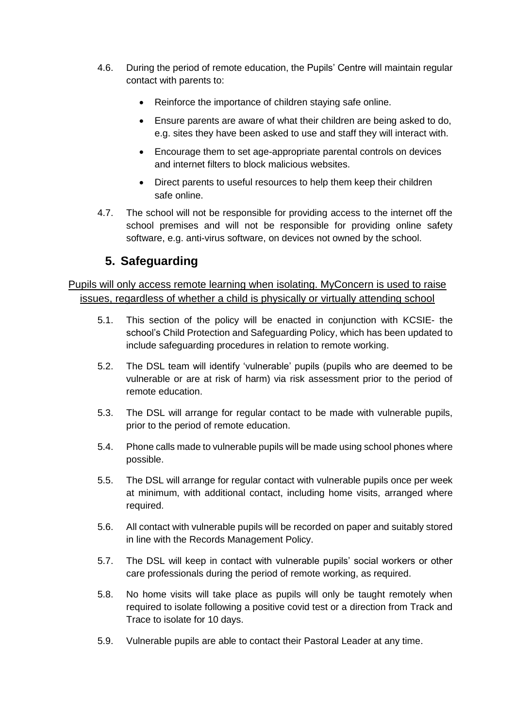- 4.6. During the period of remote education, the Pupils' Centre will maintain regular contact with parents to:
	- Reinforce the importance of children staying safe online.
	- Ensure parents are aware of what their children are being asked to do, e.g. sites they have been asked to use and staff they will interact with.
	- Encourage them to set age-appropriate parental controls on devices and internet filters to block malicious websites.
	- Direct parents to useful resources to help them keep their children safe online.
- 4.7. The school will not be responsible for providing access to the internet off the school premises and will not be responsible for providing online safety software, e.g. anti-virus software, on devices not owned by the school.

# **5. Safeguarding**

#### Pupils will only access remote learning when isolating. MyConcern is used to raise issues, regardless of whether a child is physically or virtually attending school

- 5.1. This section of the policy will be enacted in conjunction with KCSIE- the school's Child Protection and Safeguarding Policy, which has been updated to include safeguarding procedures in relation to remote working.
- 5.2. The DSL team will identify 'vulnerable' pupils (pupils who are deemed to be vulnerable or are at risk of harm) via risk assessment prior to the period of remote education.
- 5.3. The DSL will arrange for regular contact to be made with vulnerable pupils, prior to the period of remote education.
- 5.4. Phone calls made to vulnerable pupils will be made using school phones where possible.
- 5.5. The DSL will arrange for regular contact with vulnerable pupils once per week at minimum, with additional contact, including home visits, arranged where required.
- 5.6. All contact with vulnerable pupils will be recorded on paper and suitably stored in line with the Records Management Policy.
- 5.7. The DSL will keep in contact with vulnerable pupils' social workers or other care professionals during the period of remote working, as required.
- 5.8. No home visits will take place as pupils will only be taught remotely when required to isolate following a positive covid test or a direction from Track and Trace to isolate for 10 days.
- 5.9. Vulnerable pupils are able to contact their Pastoral Leader at any time.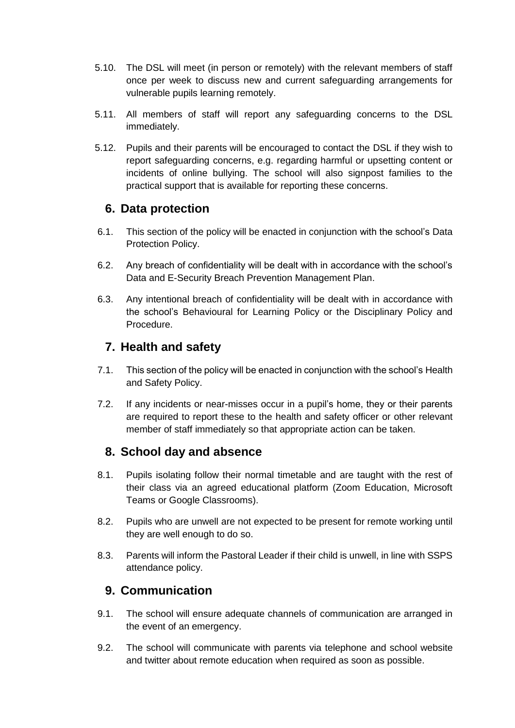- 5.10. The DSL will meet (in person or remotely) with the relevant members of staff once per week to discuss new and current safeguarding arrangements for vulnerable pupils learning remotely.
- 5.11. All members of staff will report any safeguarding concerns to the DSL immediately.
- 5.12. Pupils and their parents will be encouraged to contact the DSL if they wish to report safeguarding concerns, e.g. regarding harmful or upsetting content or incidents of online bullying. The school will also signpost families to the practical support that is available for reporting these concerns.

# **6. Data protection**

- 6.1. This section of the policy will be enacted in conjunction with the school's Data Protection Policy.
- 6.2. Any breach of confidentiality will be dealt with in accordance with the school's Data and E-Security Breach Prevention Management Plan.
- 6.3. Any intentional breach of confidentiality will be dealt with in accordance with the school's Behavioural for Learning Policy or the Disciplinary Policy and Procedure.

# **7. Health and safety**

- 7.1. This section of the policy will be enacted in conjunction with the school's Health and Safety Policy.
- 7.2. If any incidents or near-misses occur in a pupil's home, they or their parents are required to report these to the health and safety officer or other relevant member of staff immediately so that appropriate action can be taken.

# **8. School day and absence**

- <span id="page-10-0"></span>8.1. Pupils isolating follow their normal timetable and are taught with the rest of their class via an agreed educational platform (Zoom Education, Microsoft Teams or Google Classrooms).
- <span id="page-10-1"></span>8.2. Pupils who are unwell are not expected to be present for remote working until they are well enough to do so.
- <span id="page-10-2"></span>8.3. Parents will inform the Pastoral Leader if their child is unwell, in line with SSPS attendance policy.

# **9. Communication**

- 9.1. The school will ensure adequate channels of communication are arranged in the event of an emergency.
- 9.2. The school will communicate with parents via telephone and school website and twitter about remote education when required as soon as possible.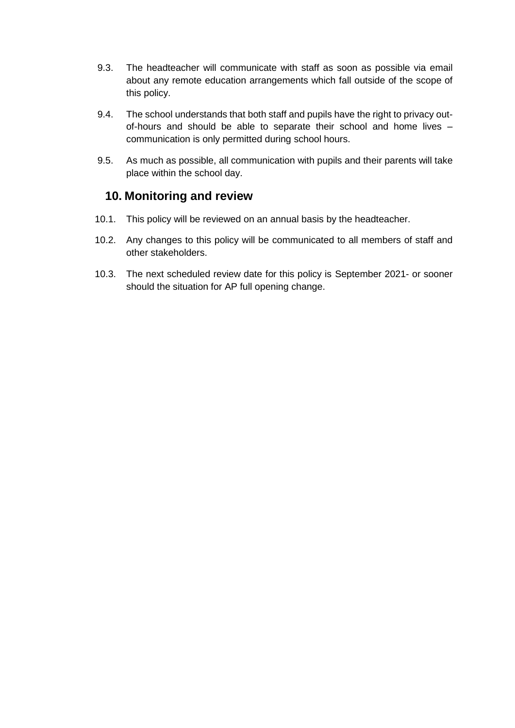- 9.3. The headteacher will communicate with staff as soon as possible via email about any remote education arrangements which fall outside of the scope of this policy.
- 9.4. The school understands that both staff and pupils have the right to privacy outof-hours and should be able to separate their school and home lives – communication is only permitted during school hours.
- 9.5. As much as possible, all communication with pupils and their parents will take place within the school day.

## **10. Monitoring and review**

- 10.1. This policy will be reviewed on an annual basis by the headteacher.
- 10.2. Any changes to this policy will be communicated to all members of staff and other stakeholders.
- 10.3. The next scheduled review date for this policy is September 2021- or sooner should the situation for AP full opening change.